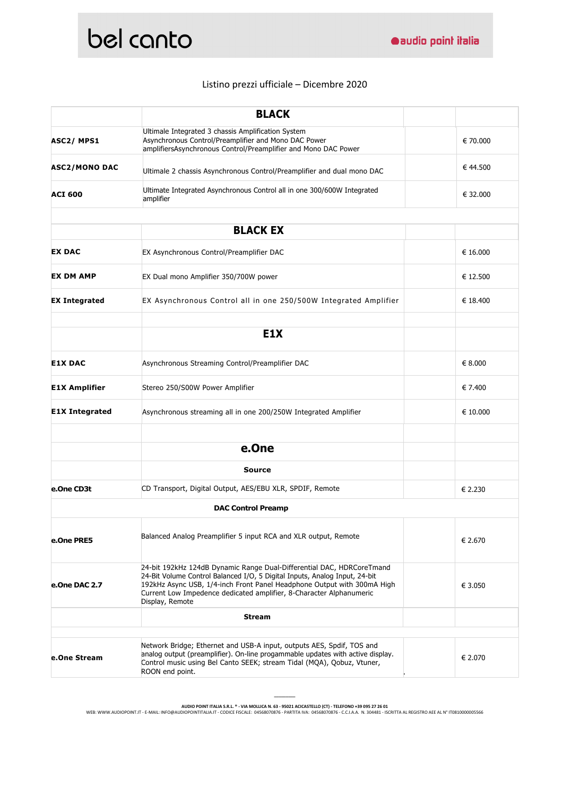

## Listino prezzi ufficiale – Dicembre 2020

|                       | <b>BLACK</b>                                                                                                                                                                                                                                                                                                             |          |
|-----------------------|--------------------------------------------------------------------------------------------------------------------------------------------------------------------------------------------------------------------------------------------------------------------------------------------------------------------------|----------|
| ASC2/MPS1             | Ultimale Integrated 3 chassis Amplification System<br>Asynchronous Control/Preamplifier and Mono DAC Power<br>amplifiersAsynchronous Control/Preamplifier and Mono DAC Power                                                                                                                                             | € 70.000 |
| <b>ASC2/MONO DAC</b>  | Ultimale 2 chassis Asynchronous Control/Preamplifier and dual mono DAC                                                                                                                                                                                                                                                   | € 44.500 |
| <b>ACI 600</b>        | Ultimate Integrated Asynchronous Control all in one 300/600W Integrated<br>amplifier                                                                                                                                                                                                                                     | € 32.000 |
|                       |                                                                                                                                                                                                                                                                                                                          |          |
|                       | <b>BLACK EX</b>                                                                                                                                                                                                                                                                                                          |          |
| <b>EX DAC</b>         | EX Asynchronous Control/Preamplifier DAC                                                                                                                                                                                                                                                                                 | € 16.000 |
| <b>EX DM AMP</b>      | EX Dual mono Amplifier 350/700W power                                                                                                                                                                                                                                                                                    | € 12.500 |
| <b>EX Integrated</b>  | EX Asynchronous Control all in one 250/500W Integrated Amplifier                                                                                                                                                                                                                                                         | € 18.400 |
|                       |                                                                                                                                                                                                                                                                                                                          |          |
|                       | E <sub>1</sub> X                                                                                                                                                                                                                                                                                                         |          |
| <b>E1X DAC</b>        | Asynchronous Streaming Control/Preamplifier DAC                                                                                                                                                                                                                                                                          | € 8.000  |
| <b>E1X Amplifier</b>  | Stereo 250/S00W Power Amplifier                                                                                                                                                                                                                                                                                          | € 7.400  |
| <b>E1X Integrated</b> | Asynchronous streaming all in one 200/250W Integrated Amplifier                                                                                                                                                                                                                                                          | € 10.000 |
|                       |                                                                                                                                                                                                                                                                                                                          |          |
|                       | e.One                                                                                                                                                                                                                                                                                                                    |          |
|                       | <b>Source</b>                                                                                                                                                                                                                                                                                                            |          |
| e.One CD3t            | CD Transport, Digital Output, AES/EBU XLR, SPDIF, Remote                                                                                                                                                                                                                                                                 | € 2.230  |
|                       | <b>DAC Control Preamp</b>                                                                                                                                                                                                                                                                                                |          |
| e.One PRE5            | Balanced Analog Preamplifier 5 input RCA and XLR output, Remote                                                                                                                                                                                                                                                          | € 2.670  |
| e.One DAC 2.7         | 24-bit 192kHz 124dB Dynamic Range Dual-Differential DAC, HDRCoreTmand<br>24-Bit Volume Control Balanced I/O, 5 Digital Inputs, Analog Input, 24-bit<br>192kHz Async USB, 1/4-inch Front Panel Headphone Output with 300mA High<br>Current Low Impedence dedicated amplifier, 8-Character Alphanumeric<br>Display, Remote | € 3.050  |
|                       | <b>Stream</b>                                                                                                                                                                                                                                                                                                            |          |
|                       |                                                                                                                                                                                                                                                                                                                          |          |
| e.One Stream          | Network Bridge; Ethernet and USB-A input, outputs AES, Spdif, TOS and<br>analog output (preamplifier). On-line progammable updates with active display.<br>Control music using Bel Canto SEEK; stream Tidal (MQA), Qobuz, Vtuner,<br>ROON end point.                                                                     | € 2.070  |

**\_\_\_\_\_\_\_\_\_**

AUDIO POINT ITALIA S.R.L. ® - VIA MOLLICA N. 63 - 95021 ACICASTELLO (CT) - TELEFONO +39 095 27 26 01<br>WEB: WWW.AUDIOPOINT.IT - E-MAIL: INFO@AUDIOPOINTITALIA.IT - CODICE FISCALE: 04568070876 - PARTITA IVA: 04568070876 - C.C.